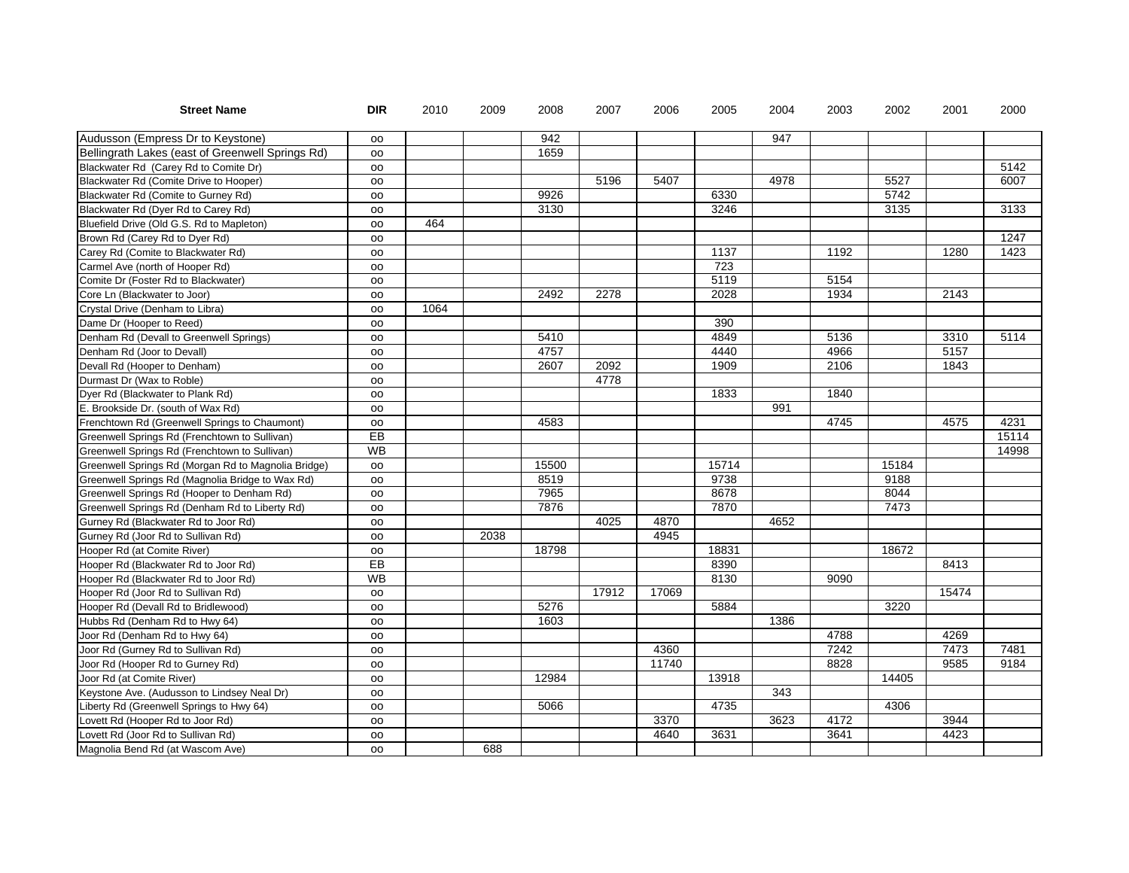| <b>Street Name</b>                                  | <b>DIR</b> | 2010 | 2009 | 2008  | 2007  | 2006  | 2005  | 2004 | 2003 | 2002          | 2001  | 2000  |
|-----------------------------------------------------|------------|------|------|-------|-------|-------|-------|------|------|---------------|-------|-------|
| Audusson (Empress Dr to Keystone)                   | OO.        |      |      | 942   |       |       |       | 947  |      |               |       |       |
| Bellingrath Lakes (east of Greenwell Springs Rd)    | OO         |      |      | 1659  |       |       |       |      |      |               |       |       |
| Blackwater Rd (Carey Rd to Comite Dr)               | <b>OO</b>  |      |      |       |       |       |       |      |      |               |       | 5142  |
| Blackwater Rd (Comite Drive to Hooper)              | oo         |      |      |       | 5196  | 5407  |       | 4978 |      | 5527          |       | 6007  |
| Blackwater Rd (Comite to Gurney Rd)                 | OO         |      |      | 9926  |       |       | 6330  |      |      | $\sqrt{5742}$ |       |       |
| Blackwater Rd (Dyer Rd to Carey Rd)                 | oo         |      |      | 3130  |       |       | 3246  |      |      | 3135          |       | 3133  |
| Bluefield Drive (Old G.S. Rd to Mapleton)           | OO         | 464  |      |       |       |       |       |      |      |               |       |       |
| Brown Rd (Carey Rd to Dyer Rd)                      | oo         |      |      |       |       |       |       |      |      |               |       | 1247  |
| Carey Rd (Comite to Blackwater Rd)                  | oo         |      |      |       |       |       | 1137  |      | 1192 |               | 1280  | 1423  |
| Carmel Ave (north of Hooper Rd)                     | OO         |      |      |       |       |       | 723   |      |      |               |       |       |
| Comite Dr (Foster Rd to Blackwater)                 | OO         |      |      |       |       |       | 5119  |      | 5154 |               |       |       |
| Core Ln (Blackwater to Joor)                        | <b>OO</b>  |      |      | 2492  | 2278  |       | 2028  |      | 1934 |               | 2143  |       |
| Crystal Drive (Denham to Libra)                     | oo         | 1064 |      |       |       |       |       |      |      |               |       |       |
| Dame Dr (Hooper to Reed)                            | OO         |      |      |       |       |       | 390   |      |      |               |       |       |
| Denham Rd (Devall to Greenwell Springs)             | <b>OO</b>  |      |      | 5410  |       |       | 4849  |      | 5136 |               | 3310  | 5114  |
| Denham Rd (Joor to Devall)                          | oo         |      |      | 4757  |       |       | 4440  |      | 4966 |               | 5157  |       |
| Devall Rd (Hooper to Denham)                        | <b>OO</b>  |      |      | 2607  | 2092  |       | 1909  |      | 2106 |               | 1843  |       |
| Durmast Dr (Wax to Roble)                           | OO         |      |      |       | 4778  |       |       |      |      |               |       |       |
| Dyer Rd (Blackwater to Plank Rd)                    | <b>OO</b>  |      |      |       |       |       | 1833  |      | 1840 |               |       |       |
| E. Brookside Dr. (south of Wax Rd)                  | oo         |      |      |       |       |       |       | 991  |      |               |       |       |
| Frenchtown Rd (Greenwell Springs to Chaumont)       | <b>OO</b>  |      |      | 4583  |       |       |       |      | 4745 |               | 4575  | 4231  |
| Greenwell Springs Rd (Frenchtown to Sullivan)       | EB         |      |      |       |       |       |       |      |      |               |       | 15114 |
| Greenwell Springs Rd (Frenchtown to Sullivan)       | <b>WB</b>  |      |      |       |       |       |       |      |      |               |       | 14998 |
| Greenwell Springs Rd (Morgan Rd to Magnolia Bridge) | oo         |      |      | 15500 |       |       | 15714 |      |      | 15184         |       |       |
| Greenwell Springs Rd (Magnolia Bridge to Wax Rd)    | oo         |      |      | 8519  |       |       | 9738  |      |      | 9188          |       |       |
| Greenwell Springs Rd (Hooper to Denham Rd)          | OO         |      |      | 7965  |       |       | 8678  |      |      | 8044          |       |       |
| Greenwell Springs Rd (Denham Rd to Liberty Rd)      | OO         |      |      | 7876  |       |       | 7870  |      |      | 7473          |       |       |
| Gurney Rd (Blackwater Rd to Joor Rd)                | <b>OO</b>  |      |      |       | 4025  | 4870  |       | 4652 |      |               |       |       |
| Gurney Rd (Joor Rd to Sullivan Rd)                  | oo         |      | 2038 |       |       | 4945  |       |      |      |               |       |       |
| Hooper Rd (at Comite River)                         | OO         |      |      | 18798 |       |       | 18831 |      |      | 18672         |       |       |
| Hooper Rd (Blackwater Rd to Joor Rd)                | $E$ B      |      |      |       |       |       | 8390  |      |      |               | 8413  |       |
| Hooper Rd (Blackwater Rd to Joor Rd)                | <b>WB</b>  |      |      |       |       |       | 8130  |      | 9090 |               |       |       |
| Hooper Rd (Joor Rd to Sullivan Rd)                  | <b>OO</b>  |      |      |       | 17912 | 17069 |       |      |      |               | 15474 |       |
| Hooper Rd (Devall Rd to Bridlewood)                 | OO         |      |      | 5276  |       |       | 5884  |      |      | 3220          |       |       |
| Hubbs Rd (Denham Rd to Hwy 64)                      | OO         |      |      | 1603  |       |       |       | 1386 |      |               |       |       |
| Joor Rd (Denham Rd to Hwy 64)                       | oo         |      |      |       |       |       |       |      | 4788 |               | 4269  |       |
| Joor Rd (Gurney Rd to Sullivan Rd)                  | OO         |      |      |       |       | 4360  |       |      | 7242 |               | 7473  | 7481  |
| Joor Rd (Hooper Rd to Gurney Rd)                    | oo         |      |      |       |       | 11740 |       |      | 8828 |               | 9585  | 9184  |
| Joor Rd (at Comite River)                           | OO         |      |      | 12984 |       |       | 13918 |      |      | 14405         |       |       |
| Keystone Ave. (Audusson to Lindsey Neal Dr)         | oo         |      |      |       |       |       |       | 343  |      |               |       |       |
| Liberty Rd (Greenwell Springs to Hwy 64)            | oo         |      |      | 5066  |       |       | 4735  |      |      | 4306          |       |       |
| Lovett Rd (Hooper Rd to Joor Rd)                    | OO         |      |      |       |       | 3370  |       | 3623 | 4172 |               | 3944  |       |
| Lovett Rd (Joor Rd to Sullivan Rd)                  | OO         |      |      |       |       | 4640  | 3631  |      | 3641 |               | 4423  |       |
| Magnolia Bend Rd (at Wascom Ave)                    | OO         |      | 688  |       |       |       |       |      |      |               |       |       |